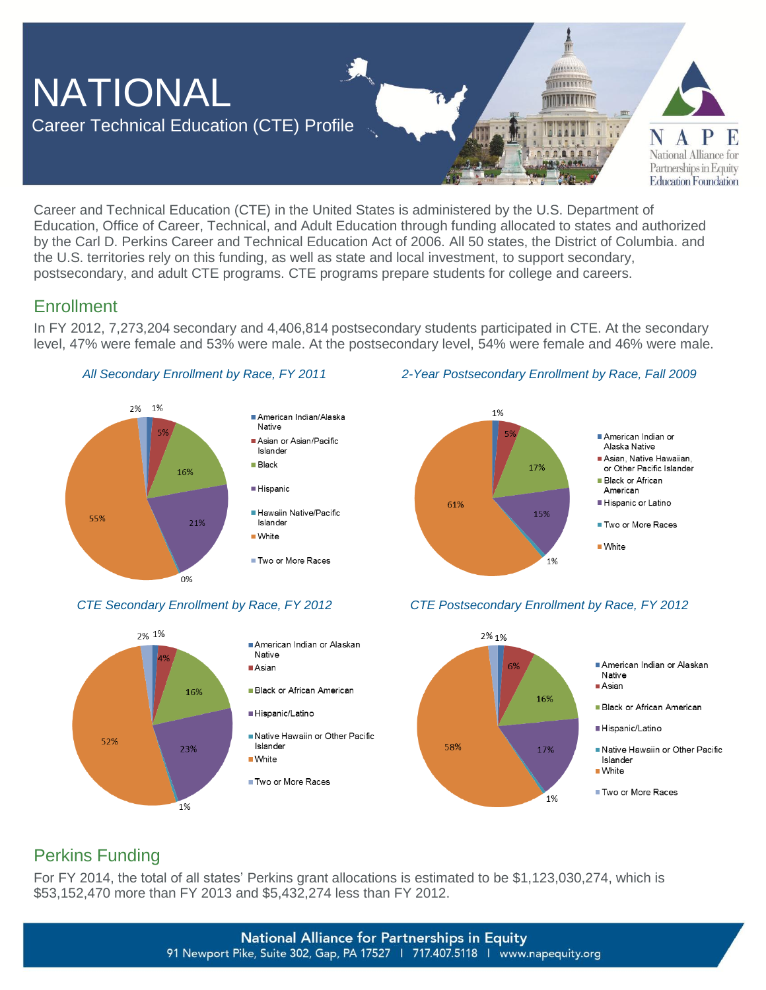

Career and Technical Education (CTE) in the United States is administered by the U.S. Department of Education, Office of Career, Technical, and Adult Education through funding allocated to states and authorized by the Carl D. Perkins Career and Technical Education Act of 2006. All 50 states, the District of Columbia. and the U.S. territories rely on this funding, as well as state and local investment, to support secondary, postsecondary, and adult CTE programs. CTE programs prepare students for college and careers.

### **Enrollment**

In FY 2012, 7,273,204 secondary and 4,406,814 postsecondary students participated in CTE. At the secondary level, 47% were female and 53% were male. At the postsecondary level, 54% were female and 46% were male.





#### *All Secondary Enrollment by Race, FY 2011 2-Year Postsecondary Enrollment by Race, Fall 2009*





### *CTE Secondary Enrollment by Race, FY 2012 CTE Postsecondary Enrollment by Race, FY 2012*

## Perkins Funding

For FY 2014, the total of all states' Perkins grant allocations is estimated to be \$1,123,030,274, which is \$53,152,470 more than FY 2013 and \$5,432,274 less than FY 2012.